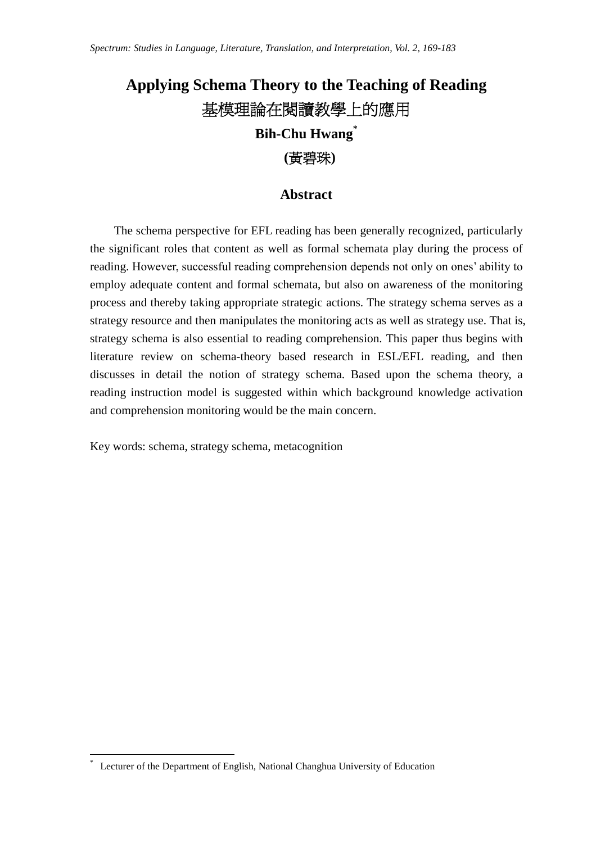# **Applying Schema Theory to the Teaching of Reading** 基模理論在閱讀教學上的應用 **Bih-Chu Hwang\* (**黃碧珠**)**

## **Abstract**

The schema perspective for EFL reading has been generally recognized, particularly the significant roles that content as well as formal schemata play during the process of reading. However, successful reading comprehension depends not only on ones' ability to employ adequate content and formal schemata, but also on awareness of the monitoring process and thereby taking appropriate strategic actions. The strategy schema serves as a strategy resource and then manipulates the monitoring acts as well as strategy use. That is, strategy schema is also essential to reading comprehension. This paper thus begins with literature review on schema-theory based research in ESL/EFL reading, and then discusses in detail the notion of strategy schema. Based upon the schema theory, a reading instruction model is suggested within which background knowledge activation and comprehension monitoring would be the main concern.

Key words: schema, strategy schema, metacognition

Lecturer of the Department of English, National Changhua University of Education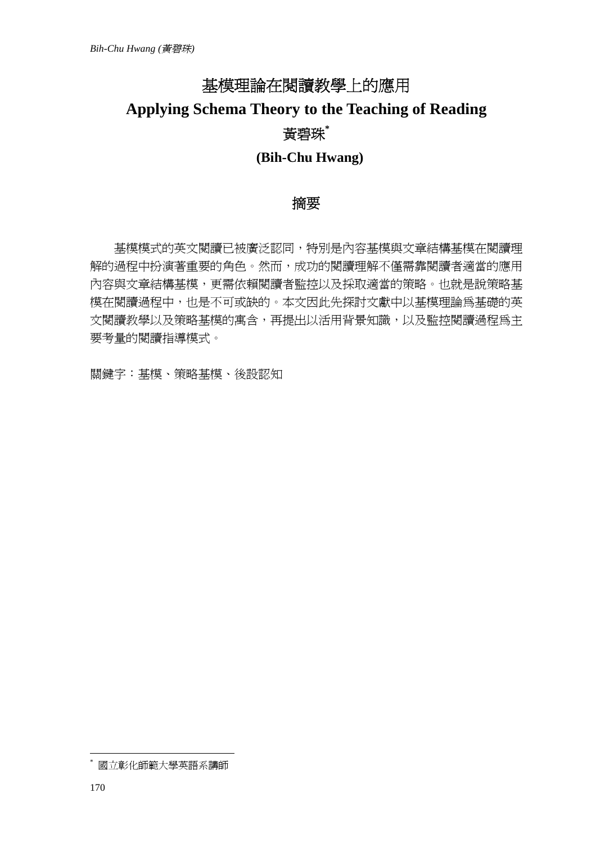# 基模理論在閱讀教學上的應用 **Applying Schema Theory to the Teaching of Reading** 黃碧珠**\* (Bih-Chu Hwang)**

# 摘要

基模模式的英文閱讀已被廣泛認同,特別是內容基模與文章結構基模在閱讀理 解的過程中扮演著重要的角色。然而,成功的閱讀理解不僅需靠閱讀者適當的應用 內容與文章結構基模,更需依賴閱讀者監控以及採取適當的策略。也就是說策略基 模在閱讀過程中,也是不可或缺的。本文因此先探討文獻中以基模理論為基礎的英 文閱讀教學以及策略基模的寓含,再提出以活用背景知識,以及監控閱讀過程為主 要考量的閱讀指導模式。

關鍵字:基模、策略基模、後設認知

<sup>\*</sup> 國立彰化師範大學英語系講師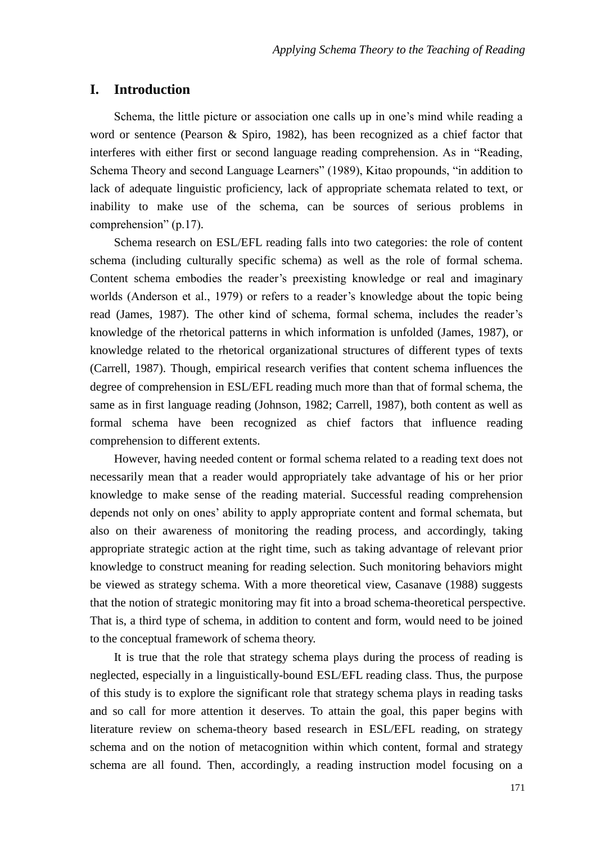#### **I. Introduction**

Schema, the little picture or association one calls up in one's mind while reading a word or sentence (Pearson & Spiro, 1982), has been recognized as a chief factor that interferes with either first or second language reading comprehension. As in "Reading, Schema Theory and second Language Learners" (1989), Kitao propounds, "in addition to lack of adequate linguistic proficiency, lack of appropriate schemata related to text, or inability to make use of the schema, can be sources of serious problems in comprehension" (p.17).

Schema research on ESL/EFL reading falls into two categories: the role of content schema (including culturally specific schema) as well as the role of formal schema. Content schema embodies the reader's preexisting knowledge or real and imaginary worlds (Anderson et al., 1979) or refers to a reader's knowledge about the topic being read (James, 1987). The other kind of schema, formal schema, includes the reader's knowledge of the rhetorical patterns in which information is unfolded (James, 1987), or knowledge related to the rhetorical organizational structures of different types of texts (Carrell, 1987). Though, empirical research verifies that content schema influences the degree of comprehension in ESL/EFL reading much more than that of formal schema, the same as in first language reading (Johnson, 1982; Carrell, 1987), both content as well as formal schema have been recognized as chief factors that influence reading comprehension to different extents.

However, having needed content or formal schema related to a reading text does not necessarily mean that a reader would appropriately take advantage of his or her prior knowledge to make sense of the reading material. Successful reading comprehension depends not only on ones' ability to apply appropriate content and formal schemata, but also on their awareness of monitoring the reading process, and accordingly, taking appropriate strategic action at the right time, such as taking advantage of relevant prior knowledge to construct meaning for reading selection. Such monitoring behaviors might be viewed as strategy schema. With a more theoretical view, Casanave (1988) suggests that the notion of strategic monitoring may fit into a broad schema-theoretical perspective. That is, a third type of schema, in addition to content and form, would need to be joined to the conceptual framework of schema theory.

It is true that the role that strategy schema plays during the process of reading is neglected, especially in a linguistically-bound ESL/EFL reading class. Thus, the purpose of this study is to explore the significant role that strategy schema plays in reading tasks and so call for more attention it deserves. To attain the goal, this paper begins with literature review on schema-theory based research in ESL/EFL reading, on strategy schema and on the notion of metacognition within which content, formal and strategy schema are all found. Then, accordingly, a reading instruction model focusing on a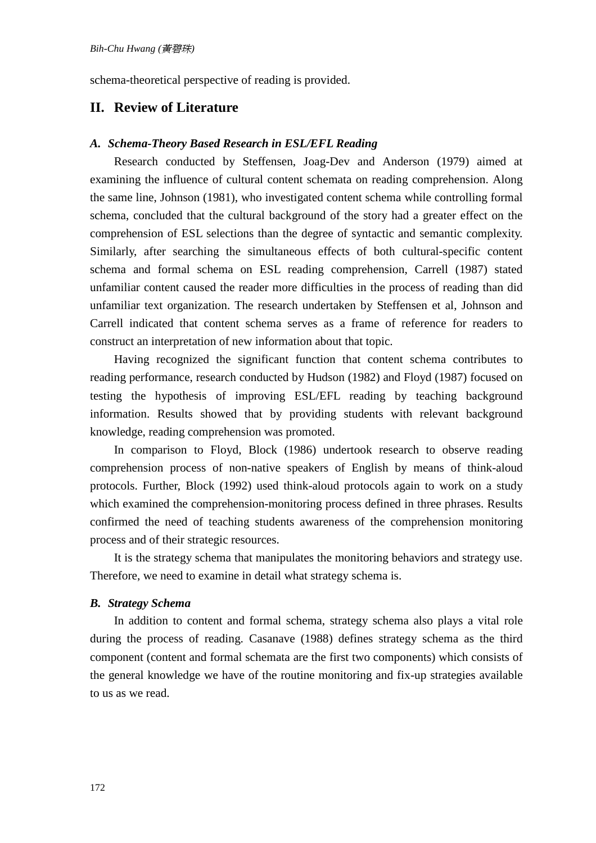schema-theoretical perspective of reading is provided.

## **II. Review of Literature**

#### *A. Schema-Theory Based Research in ESL/EFL Reading*

Research conducted by Steffensen, Joag-Dev and Anderson (1979) aimed at examining the influence of cultural content schemata on reading comprehension. Along the same line, Johnson (1981), who investigated content schema while controlling formal schema, concluded that the cultural background of the story had a greater effect on the comprehension of ESL selections than the degree of syntactic and semantic complexity. Similarly, after searching the simultaneous effects of both cultural-specific content schema and formal schema on ESL reading comprehension, Carrell (1987) stated unfamiliar content caused the reader more difficulties in the process of reading than did unfamiliar text organization. The research undertaken by Steffensen et al, Johnson and Carrell indicated that content schema serves as a frame of reference for readers to construct an interpretation of new information about that topic.

Having recognized the significant function that content schema contributes to reading performance, research conducted by Hudson (1982) and Floyd (1987) focused on testing the hypothesis of improving ESL/EFL reading by teaching background information. Results showed that by providing students with relevant background knowledge, reading comprehension was promoted.

In comparison to Floyd, Block (1986) undertook research to observe reading comprehension process of non-native speakers of English by means of think-aloud protocols. Further, Block (1992) used think-aloud protocols again to work on a study which examined the comprehension-monitoring process defined in three phrases. Results confirmed the need of teaching students awareness of the comprehension monitoring process and of their strategic resources.

It is the strategy schema that manipulates the monitoring behaviors and strategy use. Therefore, we need to examine in detail what strategy schema is.

#### *B. Strategy Schema*

In addition to content and formal schema, strategy schema also plays a vital role during the process of reading. Casanave (1988) defines strategy schema as the third component (content and formal schemata are the first two components) which consists of the general knowledge we have of the routine monitoring and fix-up strategies available to us as we read.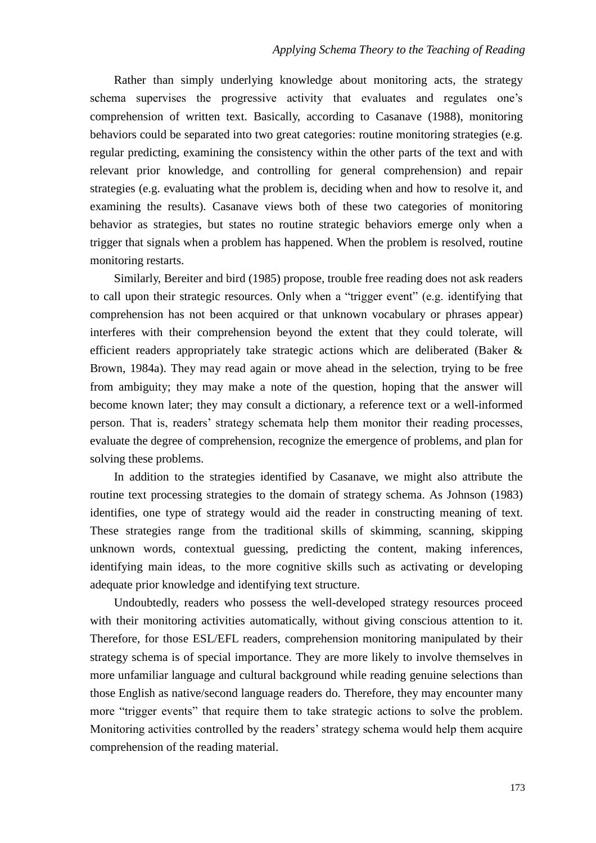Rather than simply underlying knowledge about monitoring acts, the strategy schema supervises the progressive activity that evaluates and regulates one's comprehension of written text. Basically, according to Casanave (1988), monitoring behaviors could be separated into two great categories: routine monitoring strategies (e.g. regular predicting, examining the consistency within the other parts of the text and with relevant prior knowledge, and controlling for general comprehension) and repair strategies (e.g. evaluating what the problem is, deciding when and how to resolve it, and examining the results). Casanave views both of these two categories of monitoring behavior as strategies, but states no routine strategic behaviors emerge only when a trigger that signals when a problem has happened. When the problem is resolved, routine monitoring restarts.

Similarly, Bereiter and bird (1985) propose, trouble free reading does not ask readers to call upon their strategic resources. Only when a "trigger event" (e.g. identifying that comprehension has not been acquired or that unknown vocabulary or phrases appear) interferes with their comprehension beyond the extent that they could tolerate, will efficient readers appropriately take strategic actions which are deliberated (Baker & Brown, 1984a). They may read again or move ahead in the selection, trying to be free from ambiguity; they may make a note of the question, hoping that the answer will become known later; they may consult a dictionary, a reference text or a well-informed person. That is, readers' strategy schemata help them monitor their reading processes, evaluate the degree of comprehension, recognize the emergence of problems, and plan for solving these problems.

In addition to the strategies identified by Casanave, we might also attribute the routine text processing strategies to the domain of strategy schema. As Johnson (1983) identifies, one type of strategy would aid the reader in constructing meaning of text. These strategies range from the traditional skills of skimming, scanning, skipping unknown words, contextual guessing, predicting the content, making inferences, identifying main ideas, to the more cognitive skills such as activating or developing adequate prior knowledge and identifying text structure.

Undoubtedly, readers who possess the well-developed strategy resources proceed with their monitoring activities automatically, without giving conscious attention to it. Therefore, for those ESL/EFL readers, comprehension monitoring manipulated by their strategy schema is of special importance. They are more likely to involve themselves in more unfamiliar language and cultural background while reading genuine selections than those English as native/second language readers do. Therefore, they may encounter many more "trigger events" that require them to take strategic actions to solve the problem. Monitoring activities controlled by the readers' strategy schema would help them acquire comprehension of the reading material.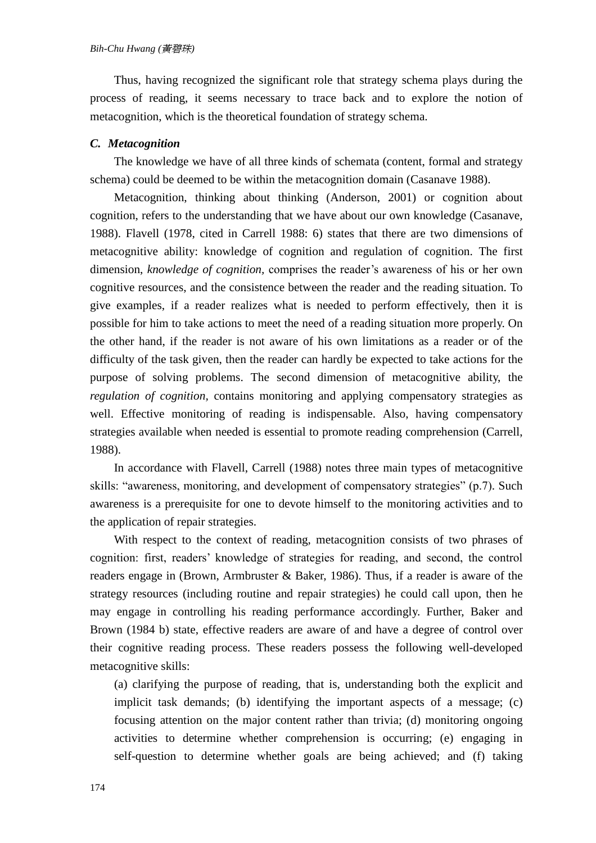Thus, having recognized the significant role that strategy schema plays during the process of reading, it seems necessary to trace back and to explore the notion of metacognition, which is the theoretical foundation of strategy schema.

#### *C. Metacognition*

The knowledge we have of all three kinds of schemata (content, formal and strategy schema) could be deemed to be within the metacognition domain (Casanave 1988).

Metacognition, thinking about thinking (Anderson, 2001) or cognition about cognition, refers to the understanding that we have about our own knowledge (Casanave, 1988). Flavell (1978, cited in Carrell 1988: 6) states that there are two dimensions of metacognitive ability: knowledge of cognition and regulation of cognition. The first dimension, *knowledge of cognition,* comprises the reader's awareness of his or her own cognitive resources, and the consistence between the reader and the reading situation. To give examples, if a reader realizes what is needed to perform effectively, then it is possible for him to take actions to meet the need of a reading situation more properly. On the other hand, if the reader is not aware of his own limitations as a reader or of the difficulty of the task given, then the reader can hardly be expected to take actions for the purpose of solving problems. The second dimension of metacognitive ability, the *regulation of cognition,* contains monitoring and applying compensatory strategies as well. Effective monitoring of reading is indispensable. Also, having compensatory strategies available when needed is essential to promote reading comprehension (Carrell, 1988).

In accordance with Flavell, Carrell (1988) notes three main types of metacognitive skills: "awareness, monitoring, and development of compensatory strategies" (p.7). Such awareness is a prerequisite for one to devote himself to the monitoring activities and to the application of repair strategies.

With respect to the context of reading, metacognition consists of two phrases of cognition: first, readers' knowledge of strategies for reading, and second, the control readers engage in (Brown, Armbruster & Baker, 1986). Thus, if a reader is aware of the strategy resources (including routine and repair strategies) he could call upon, then he may engage in controlling his reading performance accordingly. Further, Baker and Brown (1984 b) state, effective readers are aware of and have a degree of control over their cognitive reading process. These readers possess the following well-developed metacognitive skills:

(a) clarifying the purpose of reading, that is, understanding both the explicit and implicit task demands; (b) identifying the important aspects of a message; (c) focusing attention on the major content rather than trivia; (d) monitoring ongoing activities to determine whether comprehension is occurring; (e) engaging in self-question to determine whether goals are being achieved; and (f) taking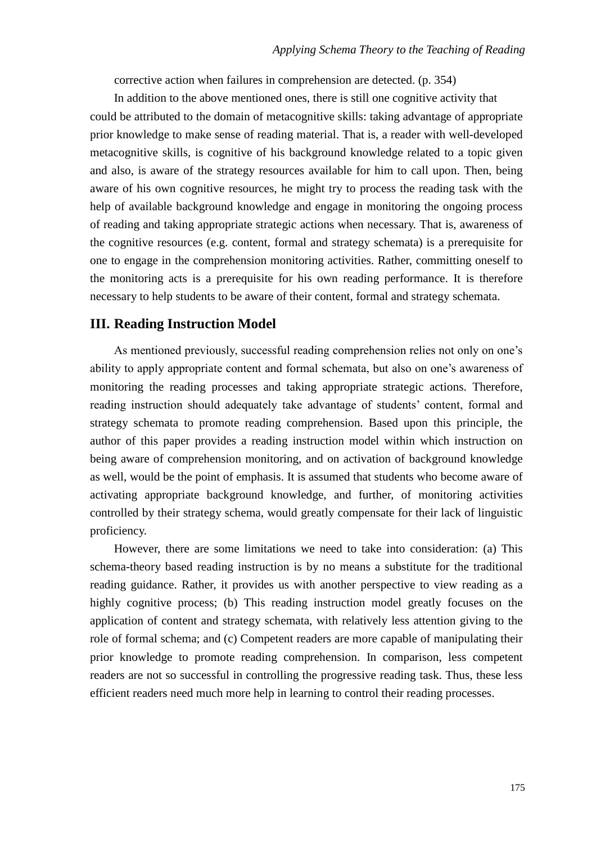corrective action when failures in comprehension are detected. (p. 354)

In addition to the above mentioned ones, there is still one cognitive activity that could be attributed to the domain of metacognitive skills: taking advantage of appropriate prior knowledge to make sense of reading material. That is, a reader with well-developed metacognitive skills, is cognitive of his background knowledge related to a topic given and also, is aware of the strategy resources available for him to call upon. Then, being aware of his own cognitive resources, he might try to process the reading task with the help of available background knowledge and engage in monitoring the ongoing process of reading and taking appropriate strategic actions when necessary. That is, awareness of the cognitive resources (e.g. content, formal and strategy schemata) is a prerequisite for one to engage in the comprehension monitoring activities. Rather, committing oneself to the monitoring acts is a prerequisite for his own reading performance. It is therefore necessary to help students to be aware of their content, formal and strategy schemata.

## **III. Reading Instruction Model**

As mentioned previously, successful reading comprehension relies not only on one's ability to apply appropriate content and formal schemata, but also on one's awareness of monitoring the reading processes and taking appropriate strategic actions. Therefore, reading instruction should adequately take advantage of students' content, formal and strategy schemata to promote reading comprehension. Based upon this principle, the author of this paper provides a reading instruction model within which instruction on being aware of comprehension monitoring, and on activation of background knowledge as well, would be the point of emphasis. It is assumed that students who become aware of activating appropriate background knowledge, and further, of monitoring activities controlled by their strategy schema, would greatly compensate for their lack of linguistic proficiency.

However, there are some limitations we need to take into consideration: (a) This schema-theory based reading instruction is by no means a substitute for the traditional reading guidance. Rather, it provides us with another perspective to view reading as a highly cognitive process; (b) This reading instruction model greatly focuses on the application of content and strategy schemata, with relatively less attention giving to the role of formal schema; and (c) Competent readers are more capable of manipulating their prior knowledge to promote reading comprehension. In comparison, less competent readers are not so successful in controlling the progressive reading task. Thus, these less efficient readers need much more help in learning to control their reading processes.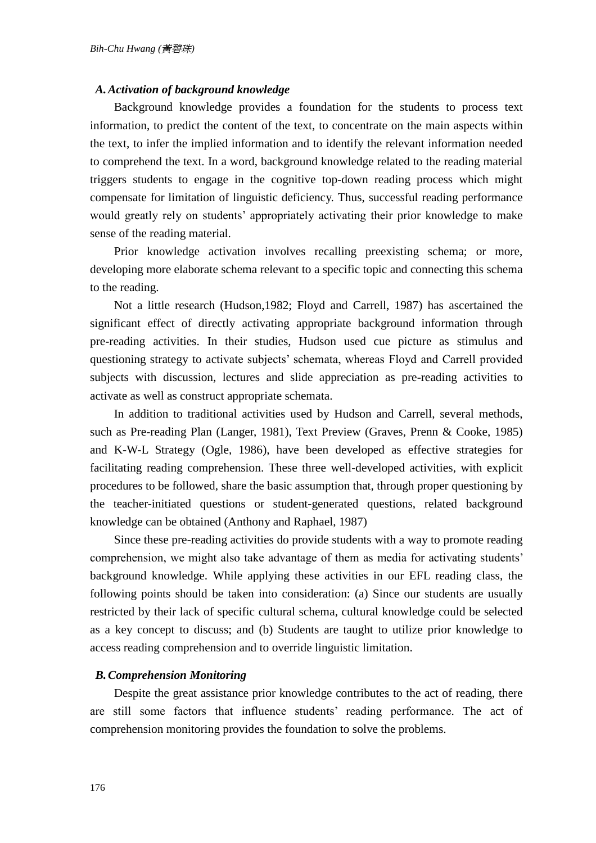#### *A. Activation of background knowledge*

Background knowledge provides a foundation for the students to process text information, to predict the content of the text, to concentrate on the main aspects within the text, to infer the implied information and to identify the relevant information needed to comprehend the text. In a word, background knowledge related to the reading material triggers students to engage in the cognitive top-down reading process which might compensate for limitation of linguistic deficiency. Thus, successful reading performance would greatly rely on students' appropriately activating their prior knowledge to make sense of the reading material.

Prior knowledge activation involves recalling preexisting schema; or more, developing more elaborate schema relevant to a specific topic and connecting this schema to the reading.

Not a little research (Hudson,1982; Floyd and Carrell, 1987) has ascertained the significant effect of directly activating appropriate background information through pre-reading activities. In their studies, Hudson used cue picture as stimulus and questioning strategy to activate subjects' schemata, whereas Floyd and Carrell provided subjects with discussion, lectures and slide appreciation as pre-reading activities to activate as well as construct appropriate schemata.

In addition to traditional activities used by Hudson and Carrell, several methods, such as Pre-reading Plan (Langer, 1981), Text Preview (Graves, Prenn & Cooke, 1985) and K-W-L Strategy (Ogle, 1986), have been developed as effective strategies for facilitating reading comprehension. These three well-developed activities, with explicit procedures to be followed, share the basic assumption that, through proper questioning by the teacher-initiated questions or student-generated questions, related background knowledge can be obtained (Anthony and Raphael, 1987)

Since these pre-reading activities do provide students with a way to promote reading comprehension, we might also take advantage of them as media for activating students' background knowledge. While applying these activities in our EFL reading class, the following points should be taken into consideration: (a) Since our students are usually restricted by their lack of specific cultural schema, cultural knowledge could be selected as a key concept to discuss; and (b) Students are taught to utilize prior knowledge to access reading comprehension and to override linguistic limitation.

#### *B. Comprehension Monitoring*

Despite the great assistance prior knowledge contributes to the act of reading, there are still some factors that influence students' reading performance. The act of comprehension monitoring provides the foundation to solve the problems.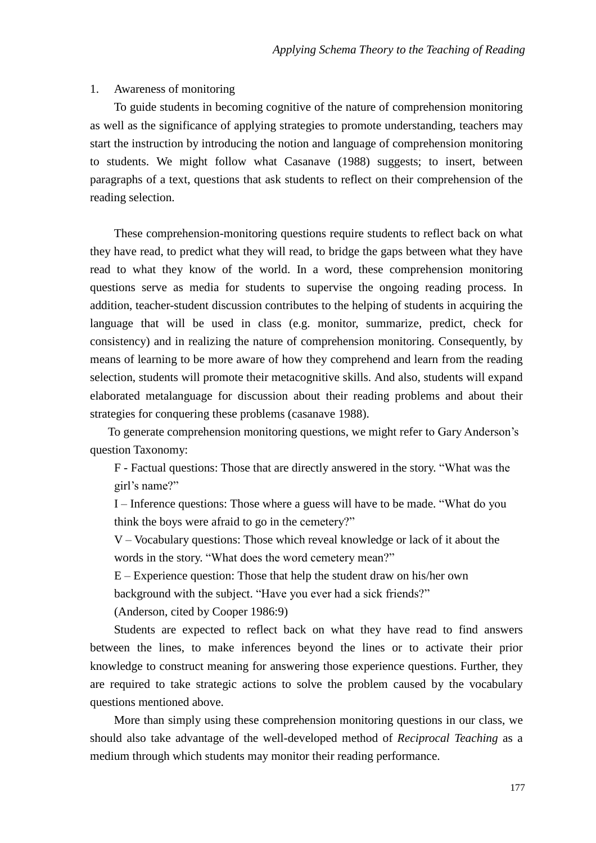#### 1. Awareness of monitoring

To guide students in becoming cognitive of the nature of comprehension monitoring as well as the significance of applying strategies to promote understanding, teachers may start the instruction by introducing the notion and language of comprehension monitoring to students. We might follow what Casanave (1988) suggests; to insert, between paragraphs of a text, questions that ask students to reflect on their comprehension of the reading selection.

These comprehension-monitoring questions require students to reflect back on what they have read, to predict what they will read, to bridge the gaps between what they have read to what they know of the world. In a word, these comprehension monitoring questions serve as media for students to supervise the ongoing reading process. In addition, teacher-student discussion contributes to the helping of students in acquiring the language that will be used in class (e.g. monitor, summarize, predict, check for consistency) and in realizing the nature of comprehension monitoring. Consequently, by means of learning to be more aware of how they comprehend and learn from the reading selection, students will promote their metacognitive skills. And also, students will expand elaborated metalanguage for discussion about their reading problems and about their strategies for conquering these problems (casanave 1988).

To generate comprehension monitoring questions, we might refer to Gary Anderson's question Taxonomy:

F - Factual questions: Those that are directly answered in the story. "What was the girl's name?"

I – Inference questions: Those where a guess will have to be made. "What do you think the boys were afraid to go in the cemetery?"

V –Vocabulary questions: Those which reveal knowledge or lack of it about the words in the story. "What does the word cemetery mean?"

 $E -$ Experience question: Those that help the student draw on his/her own

background with the subject. "Have you ever had a sick friends?"

(Anderson, cited by Cooper 1986:9)

Students are expected to reflect back on what they have read to find answers between the lines, to make inferences beyond the lines or to activate their prior knowledge to construct meaning for answering those experience questions. Further, they are required to take strategic actions to solve the problem caused by the vocabulary questions mentioned above.

More than simply using these comprehension monitoring questions in our class, we should also take advantage of the well-developed method of *Reciprocal Teaching* as a medium through which students may monitor their reading performance.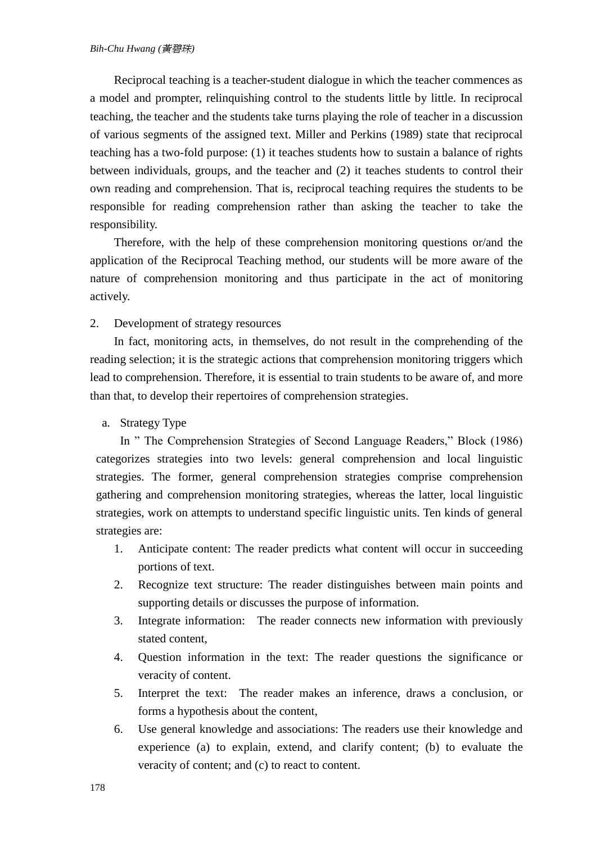Reciprocal teaching is a teacher-student dialogue in which the teacher commences as a model and prompter, relinquishing control to the students little by little. In reciprocal teaching, the teacher and the students take turns playing the role of teacher in a discussion of various segments of the assigned text. Miller and Perkins (1989) state that reciprocal teaching has a two-fold purpose: (1) it teaches students how to sustain a balance of rights between individuals, groups, and the teacher and (2) it teaches students to control their own reading and comprehension. That is, reciprocal teaching requires the students to be responsible for reading comprehension rather than asking the teacher to take the responsibility.

Therefore, with the help of these comprehension monitoring questions or/and the application of the Reciprocal Teaching method, our students will be more aware of the nature of comprehension monitoring and thus participate in the act of monitoring actively.

2. Development of strategy resources

In fact, monitoring acts, in themselves, do not result in the comprehending of the reading selection; it is the strategic actions that comprehension monitoring triggers which lead to comprehension. Therefore, it is essential to train students to be aware of, and more than that, to develop their repertoires of comprehension strategies.

a. Strategy Type

In " The Comprehension Strategies of Second Language Readers," Block (1986) categorizes strategies into two levels: general comprehension and local linguistic strategies. The former, general comprehension strategies comprise comprehension gathering and comprehension monitoring strategies, whereas the latter, local linguistic strategies, work on attempts to understand specific linguistic units. Ten kinds of general strategies are:

- 1. Anticipate content: The reader predicts what content will occur in succeeding portions of text.
- 2. Recognize text structure: The reader distinguishes between main points and supporting details or discusses the purpose of information.
- 3. Integrate information: The reader connects new information with previously stated content,
- 4. Question information in the text: The reader questions the significance or veracity of content.
- 5. Interpret the text: The reader makes an inference, draws a conclusion, or forms a hypothesis about the content,
- 6. Use general knowledge and associations: The readers use their knowledge and experience (a) to explain, extend, and clarify content; (b) to evaluate the veracity of content; and (c) to react to content.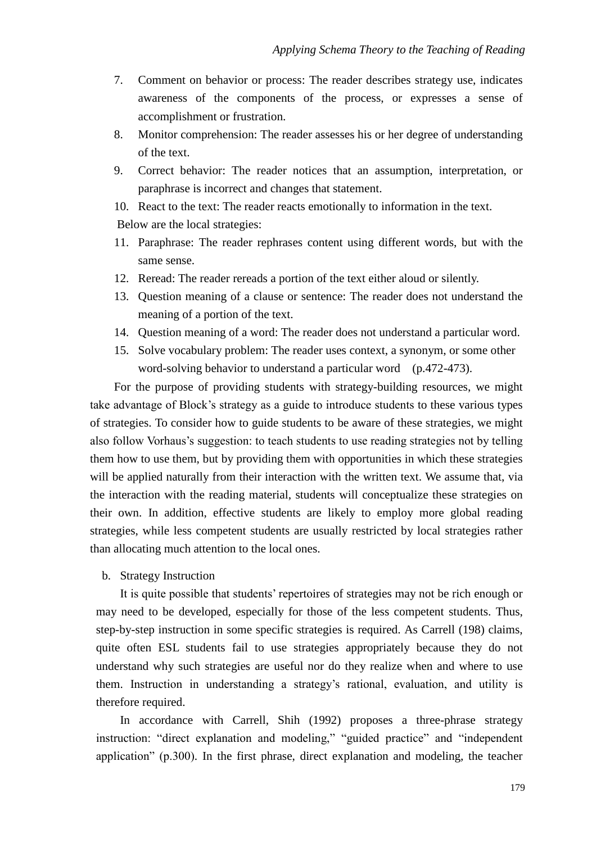- 7. Comment on behavior or process: The reader describes strategy use, indicates awareness of the components of the process, or expresses a sense of accomplishment or frustration.
- 8. Monitor comprehension: The reader assesses his or her degree of understanding of the text.
- 9. Correct behavior: The reader notices that an assumption, interpretation, or paraphrase is incorrect and changes that statement.
- 10. React to the text: The reader reacts emotionally to information in the text. Below are the local strategies:
- 11. Paraphrase: The reader rephrases content using different words, but with the same sense.
- 12. Reread: The reader rereads a portion of the text either aloud or silently.
- 13. Question meaning of a clause or sentence: The reader does not understand the meaning of a portion of the text.
- 14. Question meaning of a word: The reader does not understand a particular word.
- 15. Solve vocabulary problem: The reader uses context, a synonym, or some other word-solving behavior to understand a particular word (p.472-473).

For the purpose of providing students with strategy-building resources, we might take advantage of Block's strategy as a guide to introduce students to these various types of strategies. To consider how to guide students to be aware of these strategies, we might also follow Vorhaus's suggestion: to teach students to use reading strategies not by telling them how to use them, but by providing them with opportunities in which these strategies will be applied naturally from their interaction with the written text. We assume that, via the interaction with the reading material, students will conceptualize these strategies on their own. In addition, effective students are likely to employ more global reading strategies, while less competent students are usually restricted by local strategies rather than allocating much attention to the local ones.

#### b. Strategy Instruction

It is quite possible that students' repertoires of strategies may not be rich enough or may need to be developed, especially for those of the less competent students. Thus, step-by-step instruction in some specific strategies is required. As Carrell (198) claims, quite often ESL students fail to use strategies appropriately because they do not understand why such strategies are useful nor do they realize when and where to use them. Instruction in understanding a strategy's rational, evaluation, and utility is therefore required.

In accordance with Carrell, Shih (1992) proposes a three-phrase strategy instruction: "direct explanation and modeling," "guided practice" and "independent application" (p.300). In the first phrase, direct explanation and modeling, the teacher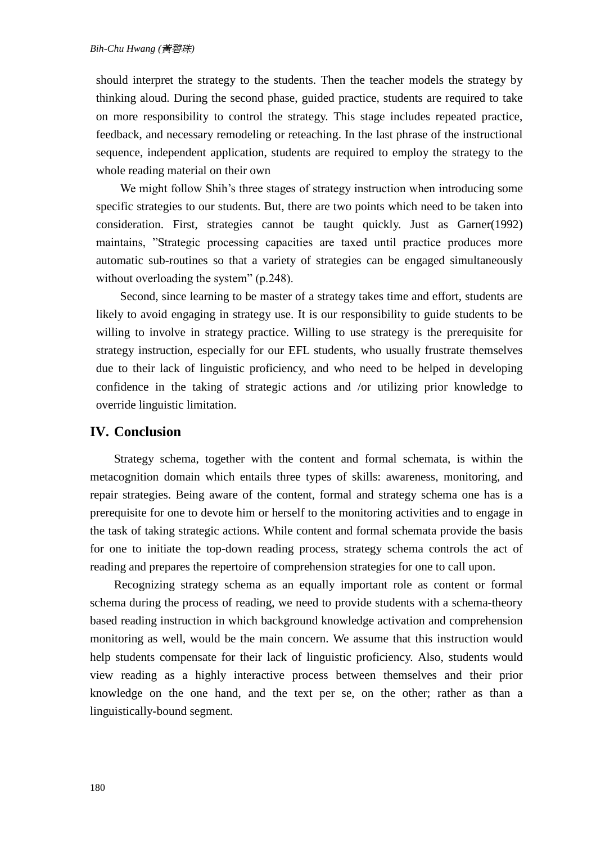should interpret the strategy to the students. Then the teacher models the strategy by thinking aloud. During the second phase, guided practice, students are required to take on more responsibility to control the strategy. This stage includes repeated practice, feedback, and necessary remodeling or reteaching. In the last phrase of the instructional sequence, independent application, students are required to employ the strategy to the whole reading material on their own

We might follow Shih's three stages of strategy instruction when introducing some specific strategies to our students. But, there are two points which need to be taken into consideration. First, strategies cannot be taught quickly. Just as Garner(1992) maintains, "Strategic processing capacities are taxed until practice produces more automatic sub-routines so that a variety of strategies can be engaged simultaneously without overloading the system" (p.248).

Second, since learning to be master of a strategy takes time and effort, students are likely to avoid engaging in strategy use. It is our responsibility to guide students to be willing to involve in strategy practice. Willing to use strategy is the prerequisite for strategy instruction, especially for our EFL students, who usually frustrate themselves due to their lack of linguistic proficiency, and who need to be helped in developing confidence in the taking of strategic actions and /or utilizing prior knowledge to override linguistic limitation.

#### **IV. Conclusion**

Strategy schema, together with the content and formal schemata, is within the metacognition domain which entails three types of skills: awareness, monitoring, and repair strategies. Being aware of the content, formal and strategy schema one has is a prerequisite for one to devote him or herself to the monitoring activities and to engage in the task of taking strategic actions. While content and formal schemata provide the basis for one to initiate the top-down reading process, strategy schema controls the act of reading and prepares the repertoire of comprehension strategies for one to call upon.

Recognizing strategy schema as an equally important role as content or formal schema during the process of reading, we need to provide students with a schema-theory based reading instruction in which background knowledge activation and comprehension monitoring as well, would be the main concern. We assume that this instruction would help students compensate for their lack of linguistic proficiency. Also, students would view reading as a highly interactive process between themselves and their prior knowledge on the one hand, and the text per se, on the other; rather as than a linguistically-bound segment.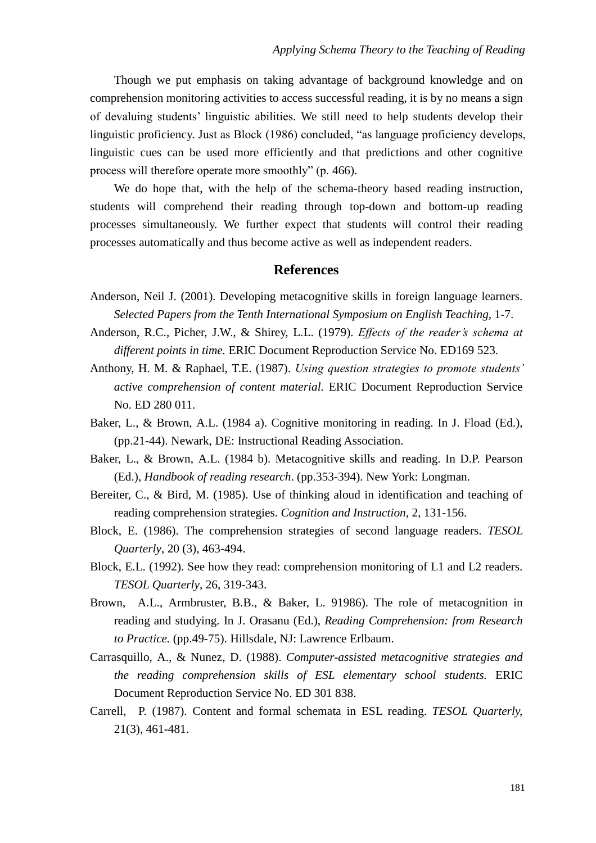Though we put emphasis on taking advantage of background knowledge and on comprehension monitoring activities to access successful reading, it is by no means a sign of devaluing students' linguistic abilities. We still need to help students develop their linguistic proficiency. Just as Block (1986) concluded, "as language proficiency develops, linguistic cues can be used more efficiently and that predictions and other cognitive process will therefore operate more smoothly" (p.466).

We do hope that, with the help of the schema-theory based reading instruction, students will comprehend their reading through top-down and bottom-up reading processes simultaneously. We further expect that students will control their reading processes automatically and thus become active as well as independent readers.

#### **References**

- Anderson, Neil J. (2001). Developing metacognitive skills in foreign language learners. *Selected Papers from the Tenth International Symposium on English Teaching,* 1-7.
- Anderson, R.C., Picher, J.W., & Shirey, L.L. (1979). *Effects of the reader's schema at different points in time.* ERIC Document Reproduction Service No. ED169 523.
- Anthony, H. M. & Raphael, T.E. (1987). *Using question strategies to promote students' active comprehension of content material.* ERIC Document Reproduction Service No. ED 280 011.
- Baker, L., & Brown, A.L. (1984 a). Cognitive monitoring in reading. In J. Fload (Ed.), (pp.21-44). Newark, DE: Instructional Reading Association.
- Baker, L., & Brown, A.L. (1984 b). Metacognitive skills and reading. In D.P. Pearson (Ed.), *Handbook of reading research*. (pp.353-394). New York: Longman.
- Bereiter, C., & Bird, M. (1985). Use of thinking aloud in identification and teaching of reading comprehension strategies. *Cognition and Instruction*, 2, 131-156.
- Block, E. (1986). The comprehension strategies of second language readers. *TESOL Quarterly*, 20 (3), 463-494.
- Block, E.L. (1992). See how they read: comprehension monitoring of L1 and L2 readers. *TESOL Quarterly*, 26, 319-343.
- Brown, A.L., Armbruster, B.B., & Baker, L. 91986). The role of metacognition in reading and studying. In J. Orasanu (Ed.), *Reading Comprehension: from Research to Practice.* (pp.49-75). Hillsdale, NJ: Lawrence Erlbaum.
- Carrasquillo, A., & Nunez, D. (1988). *Computer-assisted metacognitive strategies and the reading comprehension skills of ESL elementary school students.* ERIC Document Reproduction Service No. ED 301 838.
- Carrell, P. (1987). Content and formal schemata in ESL reading. *TESOL Quarterly,* 21(3), 461-481.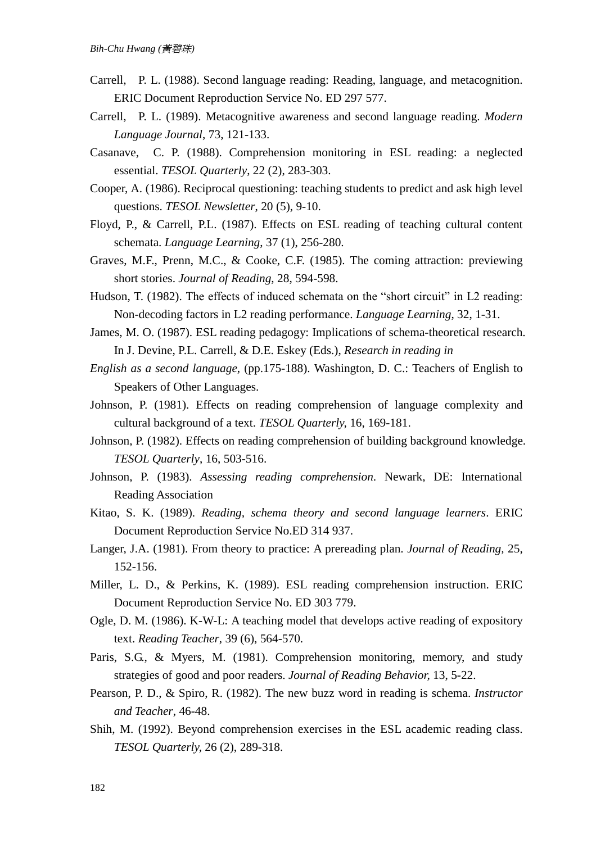- Carrell, P. L. (1988). Second language reading: Reading, language, and metacognition. ERIC Document Reproduction Service No. ED 297 577.
- Carrell, P. L. (1989). Metacognitive awareness and second language reading. *Modern Language Journal*, 73, 121-133.
- Casanave, C. P. (1988). Comprehension monitoring in ESL reading: a neglected essential. *TESOL Quarterly*, 22 (2), 283-303.
- Cooper, A. (1986). Reciprocal questioning: teaching students to predict and ask high level questions. *TESOL Newsletter*, 20 (5), 9-10.
- Floyd, P., & Carrell, P.L. (1987). Effects on ESL reading of teaching cultural content schemata. *Language Learning*, 37 (1), 256-280.
- Graves, M.F., Prenn, M.C., & Cooke, C.F. (1985). The coming attraction: previewing short stories. *Journal of Reading*, 28, 594-598.
- Hudson, T. (1982). The effects of induced schemata on the "short circuit" in L2 reading: Non-decoding factors in L2 reading performance. *Language Learning*, 32, 1-31.
- James, M. O. (1987). ESL reading pedagogy: Implications of schema-theoretical research. In J. Devine, P.L. Carrell, & D.E. Eskey (Eds.), *Research in reading in*
- *English as a second language*, (pp.175-188). Washington, D. C.: Teachers of English to Speakers of Other Languages.
- Johnson, P. (1981). Effects on reading comprehension of language complexity and cultural background of a text. *TESOL Quarterly,* 16, 169-181.
- Johnson, P. (1982). Effects on reading comprehension of building background knowledge. *TESOL Quarterly*, 16, 503-516.
- Johnson, P. (1983). *Assessing reading comprehension*. Newark, DE: International Reading Association
- Kitao, S. K. (1989). *Reading, schema theory and second language learners*. ERIC Document Reproduction Service No.ED 314 937.
- Langer, J.A. (1981). From theory to practice: A prereading plan. *Journal of Reading,* 25, 152-156.
- Miller, L. D., & Perkins, K. (1989). ESL reading comprehension instruction. ERIC Document Reproduction Service No. ED 303 779.
- Ogle, D. M. (1986). K-W-L: A teaching model that develops active reading of expository text. *Reading Teacher*, 39 (6), 564-570.
- Paris, S.G., & Myers, M. (1981). Comprehension monitoring, memory, and study strategies of good and poor readers. *Journal of Reading Behavior,* 13, 5-22.
- Pearson, P. D., & Spiro, R. (1982). The new buzz word in reading is schema. *Instructor and Teacher*, 46-48.
- Shih, M. (1992). Beyond comprehension exercises in the ESL academic reading class. *TESOL Quarterly,* 26 (2), 289-318.